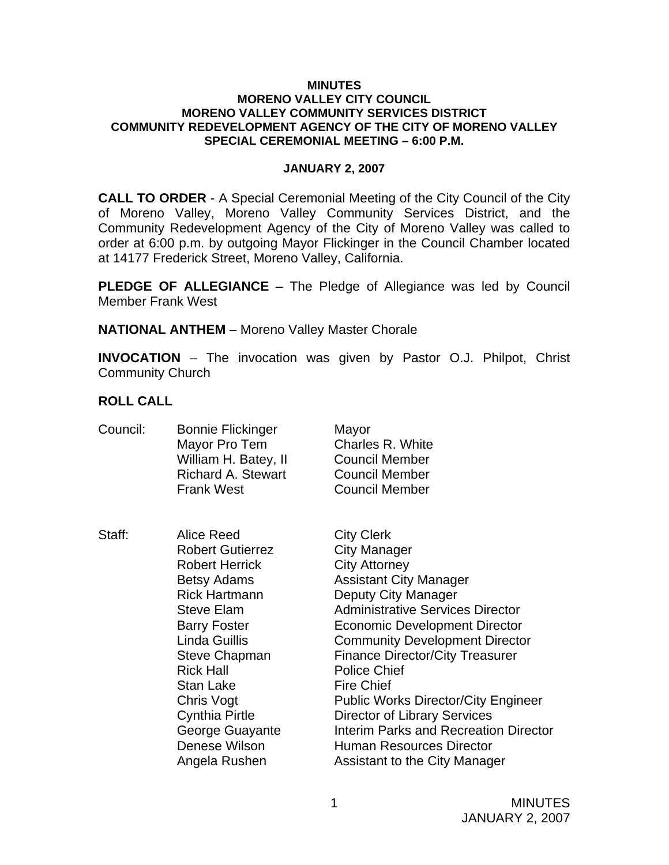#### **MINUTES MORENO VALLEY CITY COUNCIL MORENO VALLEY COMMUNITY SERVICES DISTRICT COMMUNITY REDEVELOPMENT AGENCY OF THE CITY OF MORENO VALLEY SPECIAL CEREMONIAL MEETING – 6:00 P.M.**

### **JANUARY 2, 2007**

**CALL TO ORDER** - A Special Ceremonial Meeting of the City Council of the City of Moreno Valley, Moreno Valley Community Services District, and the Community Redevelopment Agency of the City of Moreno Valley was called to order at 6:00 p.m. by outgoing Mayor Flickinger in the Council Chamber located at 14177 Frederick Street, Moreno Valley, California.

**PLEDGE OF ALLEGIANCE** – The Pledge of Allegiance was led by Council Member Frank West

**NATIONAL ANTHEM** – Moreno Valley Master Chorale

**INVOCATION** – The invocation was given by Pastor O.J. Philpot, Christ Community Church

### **ROLL CALL**

| Council: | <b>Bonnie Flickinger</b><br>Mayor Pro Tem<br>William H. Batey, II<br><b>Richard A. Stewart</b><br><b>Frank West</b>                                                                                                                                                                                                            | Mayor<br>Charles R. White<br><b>Council Member</b><br><b>Council Member</b><br><b>Council Member</b>                                                                                                                                                                                                                                                                                                                                                                                                                                  |
|----------|--------------------------------------------------------------------------------------------------------------------------------------------------------------------------------------------------------------------------------------------------------------------------------------------------------------------------------|---------------------------------------------------------------------------------------------------------------------------------------------------------------------------------------------------------------------------------------------------------------------------------------------------------------------------------------------------------------------------------------------------------------------------------------------------------------------------------------------------------------------------------------|
| Staff:   | Alice Reed<br><b>Robert Gutierrez</b><br><b>Robert Herrick</b><br><b>Betsy Adams</b><br><b>Rick Hartmann</b><br><b>Steve Elam</b><br><b>Barry Foster</b><br>Linda Guillis<br><b>Steve Chapman</b><br><b>Rick Hall</b><br>Stan Lake<br>Chris Vogt<br><b>Cynthia Pirtle</b><br>George Guayante<br>Denese Wilson<br>Angela Rushen | <b>City Clerk</b><br>City Manager<br><b>City Attorney</b><br><b>Assistant City Manager</b><br>Deputy City Manager<br><b>Administrative Services Director</b><br><b>Economic Development Director</b><br><b>Community Development Director</b><br><b>Finance Director/City Treasurer</b><br><b>Police Chief</b><br><b>Fire Chief</b><br><b>Public Works Director/City Engineer</b><br><b>Director of Library Services</b><br>Interim Parks and Recreation Director<br><b>Human Resources Director</b><br>Assistant to the City Manager |